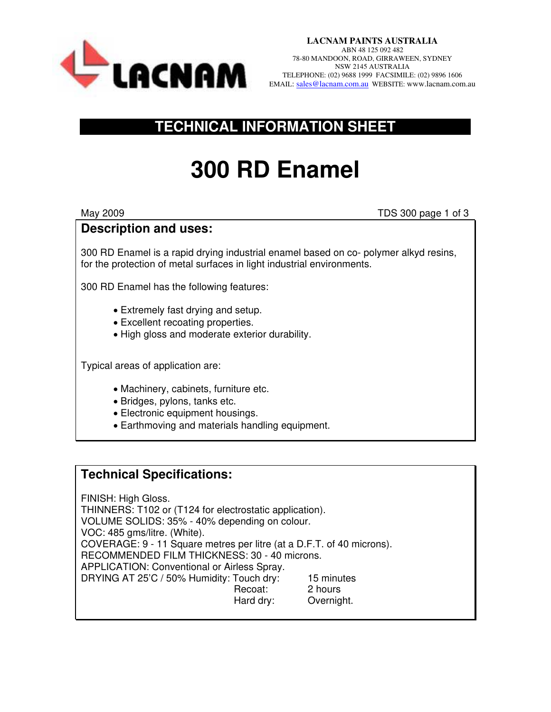

## **TECHNICAL INFORMATION SHEET**

# **300 RD Enamel**

May 2009 TDS 300 page 1 of 3

## **Description and uses:**

300 RD Enamel is a rapid drying industrial enamel based on co- polymer alkyd resins, for the protection of metal surfaces in light industrial environments.

300 RD Enamel has the following features:

- Extremely fast drying and setup.
- Excellent recoating properties.
- High gloss and moderate exterior durability.

Typical areas of application are:

- Machinery, cabinets, furniture etc.
- Bridges, pylons, tanks etc.
- Electronic equipment housings.
- Earthmoving and materials handling equipment.

#### **Technical Specifications:**

FINISH: High Gloss. THINNERS: T102 or (T124 for electrostatic application). VOLUME SOLIDS: 35% - 40% depending on colour. VOC: 485 gms/litre. (White). COVERAGE: 9 - 11 Square metres per litre (at a D.F.T. of 40 microns). RECOMMENDED FILM THICKNESS: 30 - 40 microns. APPLICATION: Conventional or Airless Spray. DRYING AT 25'C / 50% Humidity: Touch dry: 15 minutes Recoat: 2 hours Hard dry: Overnight.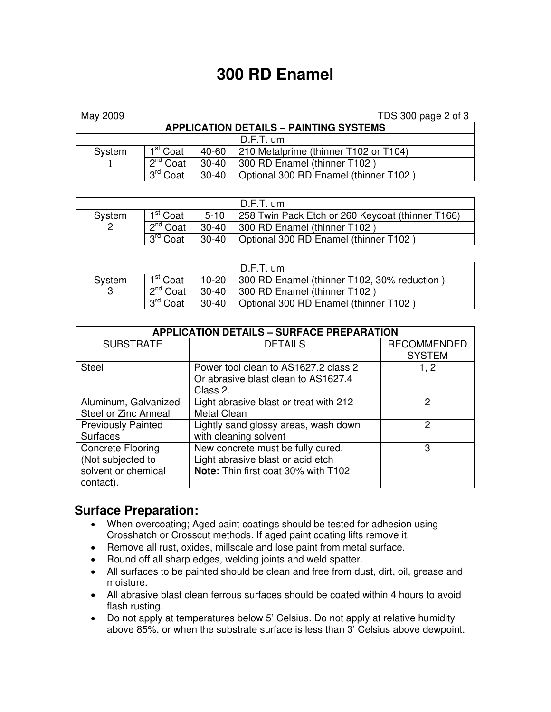## **300 RD Enamel**

| May 2009                                      |                         |           | TDS 300 page 2 of 3                   |  |  |  |  |
|-----------------------------------------------|-------------------------|-----------|---------------------------------------|--|--|--|--|
| <b>APPLICATION DETAILS - PAINTING SYSTEMS</b> |                         |           |                                       |  |  |  |  |
| $D.F.T.$ um                                   |                         |           |                                       |  |  |  |  |
| System                                        | 1 <sup>st</sup> Coat    | 40-60     | 210 Metalprime (thinner T102 or T104) |  |  |  |  |
|                                               | $2^{nd}$ Coat           | $30 - 40$ | 300 RD Enamel (thinner T102)          |  |  |  |  |
|                                               | 3 <sup>rd</sup><br>Coat | $30 - 40$ | Optional 300 RD Enamel (thinner T102) |  |  |  |  |

| $D.F.T.$ um        |                      |          |                                                  |  |  |  |
|--------------------|----------------------|----------|--------------------------------------------------|--|--|--|
| System             | 1 <sup>st</sup> Coat | $5 - 10$ | 258 Twin Pack Etch or 260 Keycoat (thinner T166) |  |  |  |
| $2^{nd}$ Coat<br>2 |                      | 30-40    | 300 RD Enamel (thinner T102)                     |  |  |  |
|                    | 3 <sup>rd</sup> Coat | $30-40$  | Optional 300 RD Enamel (thinner T102)            |  |  |  |

| $D.F.T.$ um |                      |           |                                            |  |  |
|-------------|----------------------|-----------|--------------------------------------------|--|--|
| System<br>3 | 1 <sup>st</sup> Coat | $10 - 20$ | 300 RD Enamel (thinner T102, 30% reduction |  |  |
|             | $2^{nd}$ Coat        | $30 - 40$ | 300 RD Enamel (thinner T102)               |  |  |
|             | <b>Qrd</b><br>Coat   | $30 - 40$ | Optional 300 RD Enamel (thinner T102)      |  |  |

| <b>APPLICATION DETAILS - SURFACE PREPARATION</b> |                                        |                    |  |  |  |  |
|--------------------------------------------------|----------------------------------------|--------------------|--|--|--|--|
| <b>SUBSTRATE</b>                                 | <b>DETAILS</b>                         | <b>RECOMMENDED</b> |  |  |  |  |
|                                                  |                                        | <b>SYSTEM</b>      |  |  |  |  |
| <b>Steel</b>                                     | Power tool clean to AS1627.2 class 2   | 1, 2               |  |  |  |  |
|                                                  | Or abrasive blast clean to AS1627.4    |                    |  |  |  |  |
|                                                  | Class 2.                               |                    |  |  |  |  |
| Aluminum, Galvanized                             | Light abrasive blast or treat with 212 | 2                  |  |  |  |  |
| Steel or Zinc Anneal                             | <b>Metal Clean</b>                     |                    |  |  |  |  |
| <b>Previously Painted</b>                        | Lightly sand glossy areas, wash down   | 2                  |  |  |  |  |
| <b>Surfaces</b>                                  | with cleaning solvent                  |                    |  |  |  |  |
| <b>Concrete Flooring</b>                         | New concrete must be fully cured.      | 3                  |  |  |  |  |
| (Not subjected to                                | Light abrasive blast or acid etch      |                    |  |  |  |  |
| solvent or chemical                              | Note: Thin first coat 30% with T102    |                    |  |  |  |  |
| contact).                                        |                                        |                    |  |  |  |  |

#### **Surface Preparation:**

- When overcoating; Aged paint coatings should be tested for adhesion using Crosshatch or Crosscut methods. If aged paint coating lifts remove it.
- Remove all rust, oxides, millscale and lose paint from metal surface.
- Round off all sharp edges, welding joints and weld spatter.
- All surfaces to be painted should be clean and free from dust, dirt, oil, grease and moisture.
- All abrasive blast clean ferrous surfaces should be coated within 4 hours to avoid flash rusting.
- Do not apply at temperatures below 5' Celsius. Do not apply at relative humidity above 85%, or when the substrate surface is less than 3' Celsius above dewpoint.